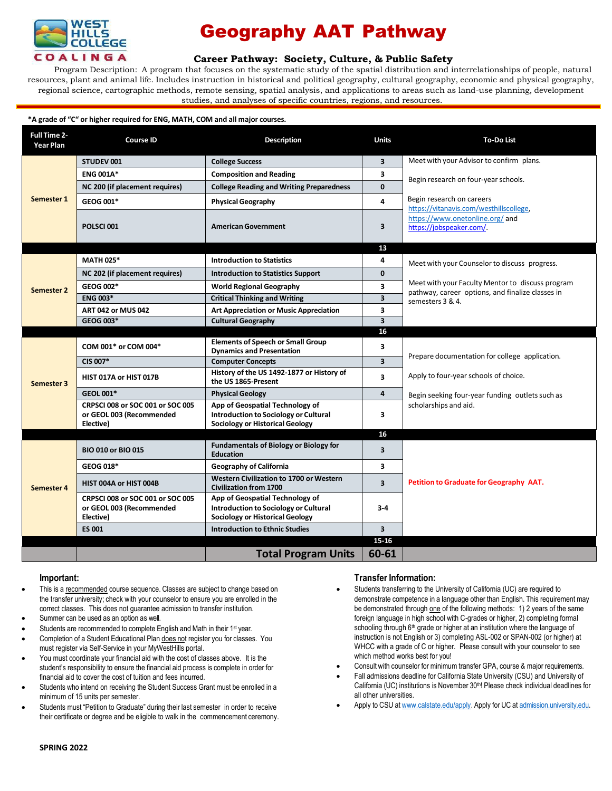

## Geography AAT Pathway

## **Career [Pathway:](http://www.broward.edu/academics/programs/Pages/social-behavioral-sciences-human-services-SBSHS.aspx) Society, Culture, & Public Safety**

Program Description: A program that focuses on the systematic study of the spatial distribution and interrelationships of people, natural resources, plant and animal life. Includes instruction in historical and political geography, cultural geography, economic and physical geography, regional science, cartographic methods, remote sensing, spatial analysis, and applications to areas such as land-use planning, development studies, and analyses of specific countries, regions, and resources.

#### **\*A grade of "C" or higher required for ENG, MATH, COM and all major courses.**

| Full Time 2-<br><b>Year Plan</b> | <b>Course ID</b>                                                          | <b>Description</b>                                                                                                        | <b>Units</b>            | <b>To-Do List</b>                                                                                     |
|----------------------------------|---------------------------------------------------------------------------|---------------------------------------------------------------------------------------------------------------------------|-------------------------|-------------------------------------------------------------------------------------------------------|
| Semester 1                       | <b>STUDEV 001</b>                                                         | <b>College Success</b>                                                                                                    | $\overline{\mathbf{3}}$ | Meet with your Advisor to confirm plans.                                                              |
|                                  | <b>ENG 001A*</b>                                                          | <b>Composition and Reading</b>                                                                                            | 3                       | Begin research on four-year schools.                                                                  |
|                                  | NC 200 (if placement requires)                                            | <b>College Reading and Writing Preparedness</b>                                                                           | 0                       |                                                                                                       |
|                                  | GEOG 001*                                                                 | <b>Physical Geography</b>                                                                                                 | 4                       | Begin research on careers                                                                             |
|                                  | POLSCI001                                                                 | <b>American Government</b>                                                                                                | 3                       | https://vitanavis.com/westhillscollege.<br>https://www.onetonline.org/and<br>https://jobspeaker.com/. |
|                                  |                                                                           |                                                                                                                           | 13                      |                                                                                                       |
| <b>Semester 2</b>                | <b>MATH 025*</b>                                                          | <b>Introduction to Statistics</b>                                                                                         | 4                       | Meet with your Counselor to discuss progress.                                                         |
|                                  | NC 202 (if placement requires)                                            | <b>Introduction to Statistics Support</b>                                                                                 | $\mathbf{0}$            |                                                                                                       |
|                                  | GEOG 002*                                                                 | <b>World Regional Geography</b>                                                                                           | 3                       | Meet with your Faculty Mentor to discuss program<br>pathway, career options, and finalize classes in  |
|                                  | <b>ENG 003*</b>                                                           | <b>Critical Thinking and Writing</b>                                                                                      | $\overline{\mathbf{3}}$ | semesters 3 & 4.                                                                                      |
|                                  | <b>ART 042 or MUS 042</b>                                                 | <b>Art Appreciation or Music Appreciation</b>                                                                             | 3                       |                                                                                                       |
|                                  | GEOG 003*                                                                 | <b>Cultural Geography</b>                                                                                                 | $\overline{\mathbf{3}}$ |                                                                                                       |
|                                  |                                                                           |                                                                                                                           | 16                      |                                                                                                       |
|                                  | COM 001* or COM 004*                                                      | <b>Elements of Speech or Small Group</b><br><b>Dynamics and Presentation</b>                                              | 3                       |                                                                                                       |
| Semester 3                       | CIS 007*                                                                  | <b>Computer Concepts</b>                                                                                                  | $\overline{\mathbf{3}}$ | Prepare documentation for college application.                                                        |
|                                  | HIST 017A or HIST 017B                                                    | History of the US 1492-1877 or History of<br>the US 1865-Present                                                          | $\overline{\mathbf{3}}$ | Apply to four-year schools of choice.                                                                 |
|                                  | <b>GEOL 001*</b>                                                          | <b>Physical Geology</b>                                                                                                   | 4                       | Begin seeking four-year funding outlets such as                                                       |
|                                  | CRPSCI 008 or SOC 001 or SOC 005<br>or GEOL 003 (Recommended<br>Elective) | App of Geospatial Technology of<br><b>Introduction to Sociology or Cultural</b><br><b>Sociology or Historical Geology</b> | 3                       | scholarships and aid.                                                                                 |
|                                  |                                                                           |                                                                                                                           | 16                      |                                                                                                       |
| Semester 4                       | <b>BIO 010 or BIO 015</b>                                                 | <b>Fundamentals of Biology or Biology for</b><br><b>Education</b>                                                         | $\overline{\mathbf{3}}$ |                                                                                                       |
|                                  | <b>GEOG 018*</b>                                                          | <b>Geography of California</b>                                                                                            | 3                       |                                                                                                       |
|                                  | HIST 004A or HIST 004B                                                    | Western Civilization to 1700 or Western<br><b>Civilization from 1700</b>                                                  | $\overline{\mathbf{3}}$ | Petition to Graduate for Geography AAT.                                                               |
|                                  | CRPSCI 008 or SOC 001 or SOC 005<br>or GEOL 003 (Recommended<br>Elective) | App of Geospatial Technology of<br>Introduction to Sociology or Cultural<br><b>Sociology or Historical Geology</b>        | $3-4$                   |                                                                                                       |
|                                  | <b>ES 001</b>                                                             | <b>Introduction to Ethnic Studies</b>                                                                                     | $\overline{\mathbf{3}}$ |                                                                                                       |
|                                  |                                                                           |                                                                                                                           | 15 16                   |                                                                                                       |
|                                  |                                                                           | <b>Total Program Units</b>                                                                                                | 60-61                   |                                                                                                       |

### **Important:**

- This is a recommended course sequence. Classes are subject to change based on the transfer university; check with your counselor to ensure you are enrolled in the correct classes. This does not guarantee admission to transfer institution.
- Summer can be used as an option as well.
- Students are recommended to complete English and Math in their 1<sup>st</sup> year.
- Completion of a Student Educational Plan does not register you for classes. You must register via Self-Service in your MyWestHills portal.
- You must coordinate your financial aid with the cost of classes above. It is the student's responsibility to ensure the financial aid process is complete in order for financial aid to cover the cost of tuition and fees incurred.
- Students who intend on receiving the Student Success Grant must be enrolled in a minimum of 15 units per semester.
- Students must "Petition to Graduate" during their last semester in order to receive their certificate or degree and be eligible to walk in the commencement ceremony.

## **Transfer Information:**

- Students transferring to the University of California (UC) are required to demonstrate competence in a language other than English. This requirement may be demonstrated through one of the following methods: 1) 2 years of the same foreign language in high school with C-grades or higher, 2) completing formal schooling through 6<sup>th</sup> grade or higher at an institution where the language of instruction is not English or 3) completing ASL-002 or SPAN-002 (or higher) at WHCC with a grade of C or higher. Please consult with your counselor to see which method works best for you!
- Consult with counselor for minimum transfer GPA, course & major requirements.
- Fall admissions deadline for California State University (CSU) and University of California (UC) institutions is November 30<sup>th</sup>! Please check individual deadlines for all other universities.
- Apply to CSU at [www.calstate.edu/apply.](http://www.calstate.edu/apply) Apply for UC at [admission.university.edu.](http://www.apply.universityofcalifornia.edu/)